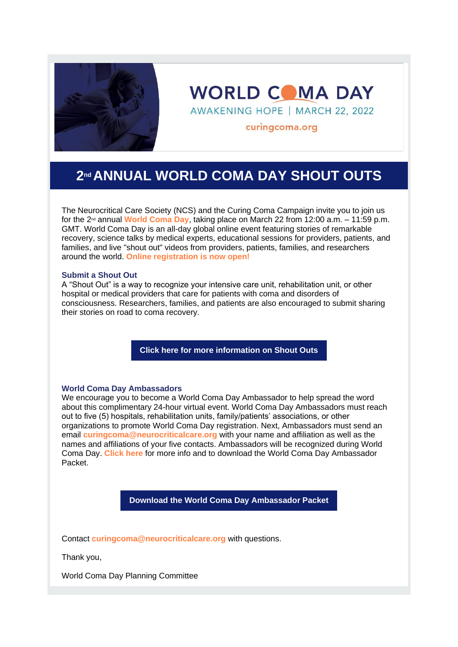

**WORLD COMA DAY** 

AWAKENING HOPE | MARCH 22, 2022

curingcoma.org

## **2nd ANNUAL WORLD COMA DAY SHOUT OUTS**

The Neurocritical Care Society (NCS) and the Curing Coma Campaign invite you to join us for the 2nd annual **[World Coma Day](https://sonicwall.url-protection.com/v1/url?o=https%3A//r20.rs6.net/tn.jsp%3Ff%3D001AJ83hbCQu8L3iCeWNlVw2s9Hl3h92NovW8JyCdADwy3f3jii7UKgEI9PLI_xEaDG97pKXebJyd6lF1YCZtZ08zcd1Fa5TH9H8sEmMNT72HabZ74-5zN5L67RcmuaIVbS5qPzI3qSUXF0P3_vqhUPL7-eRCa-KEldBMdqtMnfWkOBv1ScTbIYrw%3D%3D%26amp%3Bc%3DsQ2F7qFR1-r0fY7TA0r4HNzbwDLmn_SKmH2Zt9tqSCDA75H71EncDQ%3D%3D%26amp%3Bch%3D42vZYrujJcD5hO2Kijq9bUpDvkjn7jj61yYBw6wv4rEpw-Y3a-Etwg%3D%3D&g=NzYzMThiOWQ5MTI2MTAxOA==&h=M2VlN2NjYzk0YzFhYjI0NDc4MWQ2OGQ1YWRlMzk5ZTFhMjRmYzY0YTc5ZWQ2NGZjY2QxMzcyOWQyNjY0MjM3NA==&p=c3AyZTplYW46c29uaWN3YWxsOm9mZmljZTM2NV9lbWFpbHNfZW1haWw6ZGY5NDI3MmE1ZDM0ZjZmOTI2YTViMDFkMjhlYmNlNzY6djE=)**, taking place on March 22 from 12:00 a.m. – 11:59 p.m. GMT. World Coma Day is an all-day global online event featuring stories of remarkable recovery, science talks by medical experts, educational sessions for providers, patients, and families, and live "shout out" videos from providers, patients, families, and researchers around the world. **[Online registration is now open!](https://sonicwall.url-protection.com/v1/url?o=https%3A//r20.rs6.net/tn.jsp%3Ff%3D001AJ83hbCQu8L3iCeWNlVw2s9Hl3h92NovW8JyCdADwy3f3jii7UKgEIzyjYMcaKykxnZPEmp1a3aeIABRHbNhOzyBd1P-9wQYd5ozXyXT1U3YRfiDh-nNMN7cAlt1rkj1oTX0GVjrT7FrOAj37HJj-DIGl80Z_5OI898meM6blycENFa6-1xjC74gE7ENXVgej04P8l3ooruOiHl7-LcsMw%3D%3D%26amp%3Bc%3DsQ2F7qFR1-r0fY7TA0r4HNzbwDLmn_SKmH2Zt9tqSCDA75H71EncDQ%3D%3D%26amp%3Bch%3D42vZYrujJcD5hO2Kijq9bUpDvkjn7jj61yYBw6wv4rEpw-Y3a-Etwg%3D%3D&g=MDM0NzcwZDUzOWFhMGRlMg==&h=ZjM0NGRhNGExYjE3MjAxM2RjNGI0NGMxZjBlMjAyNWQ3YWJkMjExYjI1MmIyOWExOTRiYmFiMzIwMDI4MDFmOA==&p=c3AyZTplYW46c29uaWN3YWxsOm9mZmljZTM2NV9lbWFpbHNfZW1haWw6ZGY5NDI3MmE1ZDM0ZjZmOTI2YTViMDFkMjhlYmNlNzY6djE=)**

## **Submit a Shout Out**

A "Shout Out" is a way to recognize your intensive care unit, rehabilitation unit, or other hospital or medical providers that care for patients with coma and disorders of consciousness. Researchers, families, and patients are also encouraged to submit sharing their stories on road to coma recovery.

**[Click here for more information on Shout Outs](https://sonicwall.url-protection.com/v1/url?o=https%3A//r20.rs6.net/tn.jsp%3Ff%3D001AJ83hbCQu8L3iCeWNlVw2s9Hl3h92NovW8JyCdADwy3f3jii7UKgEIzyjYMcaKyk79KkgIGoA6nvjfCU8_mSKr0TkNtZqRAEQq9-SEBjfEZk2YmUpSYiwIsmyOopqVkfvtwjdIOP-TXbaxE1PTprbSQ88tmq_7LbfrnkmgoorQTLMowqOYKET7QgRIhDr5r0P9kuxGpzvswj3xkIuBAG6tyDcwVhC_5mdHe046M2irlHTK-uImb1hbPmERirB3hIeg82Pkv2SrNnvuPLu4h40lHDIuvNBGe0wmeR6zz81xZLZqCSPN-SRdGE84ztXXPXSBplcjSAAezIDVRoC8baXmL765QkLrRO%26amp%3Bc%3DsQ2F7qFR1-r0fY7TA0r4HNzbwDLmn_SKmH2Zt9tqSCDA75H71EncDQ%3D%3D%26amp%3Bch%3D42vZYrujJcD5hO2Kijq9bUpDvkjn7jj61yYBw6wv4rEpw-Y3a-Etwg%3D%3D&g=NzJjNGZiMzEzNDRjYzE4OA==&h=Njg4NDBkNDk4ZGMzODJiYmYyNTU1NTMzZmViMjhlODNlYjVlMTU0MzIwMWU4MmQ0MzczOGM5MjMyZmI1ZmQ5ZQ==&p=c3AyZTplYW46c29uaWN3YWxsOm9mZmljZTM2NV9lbWFpbHNfZW1haWw6ZGY5NDI3MmE1ZDM0ZjZmOTI2YTViMDFkMjhlYmNlNzY6djE=)**

## **World Coma Day Ambassadors**

We encourage you to become a World Coma Day Ambassador to help spread the word about this complimentary 24-hour virtual event. World Coma Day Ambassadors must reach out to five (5) hospitals, rehabilitation units, family/patients' associations, or other organizations to promote World Coma Day registration. Next, Ambassadors must send an email **[curingcoma@neurocriticalcare.org](mailto:curingcoma@neurocriticalcare.org)** with your name and affiliation as well as the names and affiliations of your five contacts. Ambassadors will be recognized during World Coma Day. **[Click here](https://sonicwall.url-protection.com/v1/url?o=https%3A//r20.rs6.net/tn.jsp%3Ff%3D001AJ83hbCQu8L3iCeWNlVw2s9Hl3h92NovW8JyCdADwy3f3jii7UKgEI9PLI_xEaDG97pKXebJyd6lF1YCZtZ08zcd1Fa5TH9H8sEmMNT72HabZ74-5zN5L67RcmuaIVbS5qPzI3qSUXF0P3_vqhUPL7-eRCa-KEldBMdqtMnfWkOBv1ScTbIYrw%3D%3D%26amp%3Bc%3DsQ2F7qFR1-r0fY7TA0r4HNzbwDLmn_SKmH2Zt9tqSCDA75H71EncDQ%3D%3D%26amp%3Bch%3D42vZYrujJcD5hO2Kijq9bUpDvkjn7jj61yYBw6wv4rEpw-Y3a-Etwg%3D%3D&g=NGNjMTJlNjliYjJlMWMyMQ==&h=ZjNkZjgzZjUyMTBhNzE1NzVjMzAxYjAwZjY0YzcwNGJjNzUyNDdkM2M0NThlZTA2NDdjMTAzZWMwMDM0Y2E1ZA==&p=c3AyZTplYW46c29uaWN3YWxsOm9mZmljZTM2NV9lbWFpbHNfZW1haWw6ZGY5NDI3MmE1ZDM0ZjZmOTI2YTViMDFkMjhlYmNlNzY6djE=)** for more info and to download the World Coma Day Ambassador Packet.

**[Download the World Coma Day Ambassador Packet](https://sonicwall.url-protection.com/v1/url?o=https%3A//r20.rs6.net/tn.jsp%3Ff%3D001AJ83hbCQu8L3iCeWNlVw2s9Hl3h92NovW8JyCdADwy3f3jii7UKgEIzyjYMcaKyk79KkgIGoA6nvjfCU8_mSKr0TkNtZqRAEQq9-SEBjfEZk2YmUpSYiwIsmyOopqVkfvtwjdIOP-TXbaxE1PTprbSQ88tmq_7LbfrnkmgoorQTLMowqOYKET7QgRIhDr5r0P9kuxGpzvswj3xkIuBAG6tyDcwVhC_5mdHe046M2irlHTK-uImb1hbPmERirB3hIeg82Pkv2SrNnvuPLu4h40lHDIuvNBGe0wmeR6zz81xZLZqCSPN-SRdGE84ztXXPXSBplcjSAAezIDVRoC8baXmL765QkLrRO%26amp%3Bc%3DsQ2F7qFR1-r0fY7TA0r4HNzbwDLmn_SKmH2Zt9tqSCDA75H71EncDQ%3D%3D%26amp%3Bch%3D42vZYrujJcD5hO2Kijq9bUpDvkjn7jj61yYBw6wv4rEpw-Y3a-Etwg%3D%3D&g=ZjFhZTEyNDdlNWEyNWRhYg==&h=M2FmOWU0MDVlZDU5MTIzY2U2YzhiNGYxZTBjMTJiMDgzNWRhYzA5MzYwZTI3NzRjZTYzZmVmYTEwYTIyYzE4OQ==&p=c3AyZTplYW46c29uaWN3YWxsOm9mZmljZTM2NV9lbWFpbHNfZW1haWw6ZGY5NDI3MmE1ZDM0ZjZmOTI2YTViMDFkMjhlYmNlNzY6djE=)**

Contact **[curingcoma@neurocriticalcare.org](mailto:curingcoma@neurocriticalcare.org)** with questions.

Thank you,

World Coma Day Planning Committee